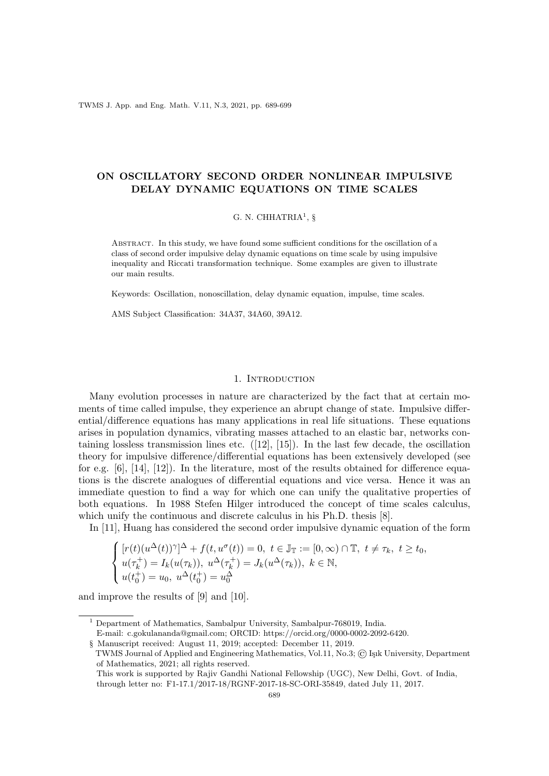TWMS J. App. and Eng. Math. V.11, N.3, 2021, pp. 689-699

# ON OSCILLATORY SECOND ORDER NONLINEAR IMPULSIVE DELAY DYNAMIC EQUATIONS ON TIME SCALES

## G. N. CHHATRIA<sup>1</sup>, §

Abstract. In this study, we have found some sufficient conditions for the oscillation of a class of second order impulsive delay dynamic equations on time scale by using impulsive inequality and Riccati transformation technique. Some examples are given to illustrate our main results.

Keywords: Oscillation, nonoscillation, delay dynamic equation, impulse, time scales.

AMS Subject Classification: 34A37, 34A60, 39A12.

## 1. Introduction

Many evolution processes in nature are characterized by the fact that at certain moments of time called impulse, they experience an abrupt change of state. Impulsive differential/difference equations has many applications in real life situations. These equations arises in population dynamics, vibrating masses attached to an elastic bar, networks containing lossless transmission lines etc.  $([12], [15])$ . In the last few decade, the oscillation theory for impulsive difference/differential equations has been extensively developed (see for e.g.  $[6]$ ,  $[14]$ ,  $[12]$ ). In the literature, most of the results obtained for difference equations is the discrete analogues of differential equations and vice versa. Hence it was an immediate question to find a way for which one can unify the qualitative properties of both equations. In 1988 Stefen Hilger introduced the concept of time scales calculus, which unify the continuous and discrete calculus in his Ph.D. thesis [8].

In [11], Huang has considered the second order impulsive dynamic equation of the form

$$
\begin{cases}\n[r(t)(u^{\Delta}(t))^{\gamma}]^{\Delta} + f(t, u^{\sigma}(t)) = 0, \ t \in \mathbb{J}_{\mathbb{T}} := [0, \infty) \cap \mathbb{T}, \ t \neq \tau_k, \ t \geq t_0, \\
u(\tau_k^+) = I_k(u(\tau_k)), \ u^{\Delta}(\tau_k^+) = J_k(u^{\Delta}(\tau_k)), \ k \in \mathbb{N}, \\
u(t_0^+) = u_0, \ u^{\Delta}(t_0^+) = u_0^{\Delta}\n\end{cases}
$$

and improve the results of [9] and [10].

E-mail: c.gokulananda@gmail.com; ORCID: https://orcid.org/0000-0002-2092-6420.

<sup>&</sup>lt;sup>1</sup> Department of Mathematics, Sambalpur University, Sambalpur-768019, India.

<sup>§</sup> Manuscript received: August 11, 2019; accepted: December 11, 2019.

TWMS Journal of Applied and Engineering Mathematics, Vol.11, No.3; © Işık University, Department of Mathematics, 2021; all rights reserved.

This work is supported by Rajiv Gandhi National Fellowship (UGC), New Delhi, Govt. of India, through letter no: F1-17.1/2017-18/RGNF-2017-18-SC-ORI-35849, dated July 11, 2017.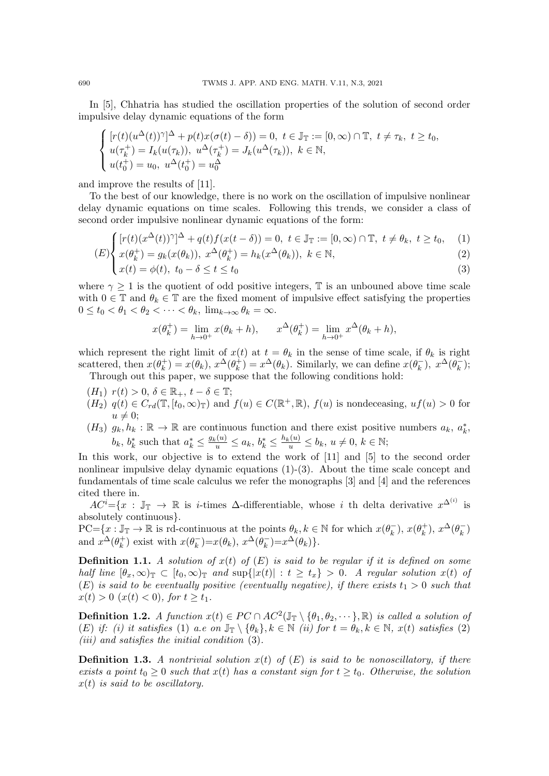In [5], Chhatria has studied the oscillation properties of the solution of second order impulsive delay dynamic equations of the form

$$
\begin{cases}\n[r(t)(u^{\Delta}(t))^{\gamma}]^{\Delta} + p(t)x(\sigma(t) - \delta)) = 0, \ t \in \mathbb{J}_{\mathbb{T}} := [0, \infty) \cap \mathbb{T}, \ t \neq \tau_k, \ t \geq t_0, \\
u(\tau_k^+) = I_k(u(\tau_k)), \ u^{\Delta}(\tau_k^+) = J_k(u^{\Delta}(\tau_k)), \ k \in \mathbb{N}, \\
u(t_0^+) = u_0, \ u^{\Delta}(t_0^+) = u_0^{\Delta}\n\end{cases}
$$

and improve the results of [11].

To the best of our knowledge, there is no work on the oscillation of impulsive nonlinear delay dynamic equations on time scales. Following this trends, we consider a class of second order impulsive nonlinear dynamic equations of the form:

$$
(E)\begin{cases}\n[r(t)(x^{\Delta}(t))^{\gamma}]^{\Delta} + q(t)f(x(t-\delta)) = 0, \ t \in \mathbb{J}_{\mathbb{T}} := [0, \infty) \cap \mathbb{T}, \ t \neq \theta_k, \ t \geq t_0, \\
x(\theta_k^+) = g_k(x(\theta_k)), \ x^{\Delta}(\theta_k^+) = h_k(x^{\Delta}(\theta_k)), \ k \in \mathbb{N},\n\end{cases} (2)
$$

$$
x(t) = \phi(t), \ t_0 - \delta \le t \le t_0
$$
\n
$$
(3)
$$

where  $\gamma \geq 1$  is the quotient of odd positive integers, T is an unbouned above time scale with  $0 \in \mathbb{T}$  and  $\theta_k \in \mathbb{T}$  are the fixed moment of impulsive effect satisfying the properties  $0 \le t_0 < \theta_1 < \theta_2 < \cdots < \theta_k$ ,  $\lim_{k \to \infty} \theta_k = \infty$ .

$$
x(\theta_k^+) = \lim_{h \to 0^+} x(\theta_k + h), \qquad x^{\Delta}(\theta_k^+) = \lim_{h \to 0^+} x^{\Delta}(\theta_k + h),
$$

which represent the right limit of  $x(t)$  at  $t = \theta_k$  in the sense of time scale, if  $\theta_k$  is right scattered, then  $x(\theta_k^+$  $(x_k^+)=x(\theta_k), x^{\Delta}(\theta_k^+),$  $\mathcal{L}_k^{\dagger}$  =  $x^{\Delta}(\theta_k)$ . Similarly, we can define  $x(\theta_k^{-})$  $(x_k^-), x^{\Delta}(\theta_k^-)$  $\binom{m}{k};$ 

Through out this paper, we suppose that the following conditions hold:

- $(H_1)$   $r(t) > 0, \delta \in \mathbb{R}_+, t \delta \in \mathbb{T};$
- $(H_2)$   $q(t) \in C_{rd}(\mathbb{T}, [t_0, \infty)_{\mathbb{T}})$  and  $f(u) \in C(\mathbb{R}^+, \mathbb{R}),$   $f(u)$  is nondeceasing,  $uf(u) > 0$  for  $u \neq 0$ ;
- (H<sub>3</sub>)  $g_k, h_k : \mathbb{R} \to \mathbb{R}$  are continuous function and there exist positive numbers  $a_k, a_k^*$ ,  $b_k, b_k^*$  such that  $a_k^* \leq \frac{g_k(u)}{u} \leq a_k, b_k^* \leq \frac{h_k(u)}{u} \leq b_k, u \neq 0, k \in \mathbb{N};$

In this work, our objective is to extend the work of [11] and [5] to the second order nonlinear impulsive delay dynamic equations (1)-(3). About the time scale concept and fundamentals of time scale calculus we refer the monographs [3] and [4] and the references cited there in.

 $AC^{i} = \{x : \mathbb{J}_{\mathbb{T}} \to \mathbb{R} \text{ is } i\text{-times } \Delta \text{-differential} \text{ is } i\text{-th}$  whose i th delta derivative  $x^{\Delta^{(i)}}$  is absolutely continuous}.

 $PC = \{x : \mathbb{J}_{\mathbb{T}} \to \mathbb{R} \text{ is rd-continuous at the points } \theta_k, k \in \mathbb{N} \text{ for which } x(\theta_k)$  $(x_k^{-})$ ,  $x(\theta_k^{+})$  $(x_k^{(+)})$ ,  $x^{\Delta}(\theta_k^-)$  $\binom{=}{k}$ and  $x^{\Delta}(\theta_k^+)$  $\binom{+}{k}$  exist with  $x(\theta_k^-)$  $(\overline{k})=x(\theta_k), x^{\Delta}(\theta_k)$  $(x_k^-)=x^{\Delta}(\theta_k)$ .

**Definition 1.1.** A solution of  $x(t)$  of  $(E)$  is said to be regular if it is defined on some half line  $[\theta_x, \infty)_\mathbb{T} \subset [t_0, \infty)_\mathbb{T}$  and  $\sup\{|x(t)| : t \ge t_x\} > 0$ . A regular solution  $x(t)$  of (E) is said to be eventually positive (eventually negative), if there exists  $t_1 > 0$  such that  $x(t) > 0$   $(x(t) < 0)$ , for  $t \ge t_1$ .

**Definition 1.2.** A function  $x(t) \in PC \cap AC^2(\mathbb{J}_{\mathbb{T}} \setminus \{\theta_1, \theta_2, \cdots\}, \mathbb{R})$  is called a solution of (E) if: (i) it satisfies (1) a.e on  $\mathbb{J}_{\mathbb{T}} \setminus {\theta_k}$ ,  $k \in \mathbb{N}$  (ii) for  $t = \theta_k, k \in \mathbb{N}$ ,  $x(t)$  satisfies (2)  $(iii)$  and satisfies the initial condition  $(3)$ .

**Definition 1.3.** A nontrivial solution  $x(t)$  of  $(E)$  is said to be nonoscillatory, if there exists a point  $t_0 \geq 0$  such that  $x(t)$  has a constant sign for  $t \geq t_0$ . Otherwise, the solution  $x(t)$  is said to be oscillatory.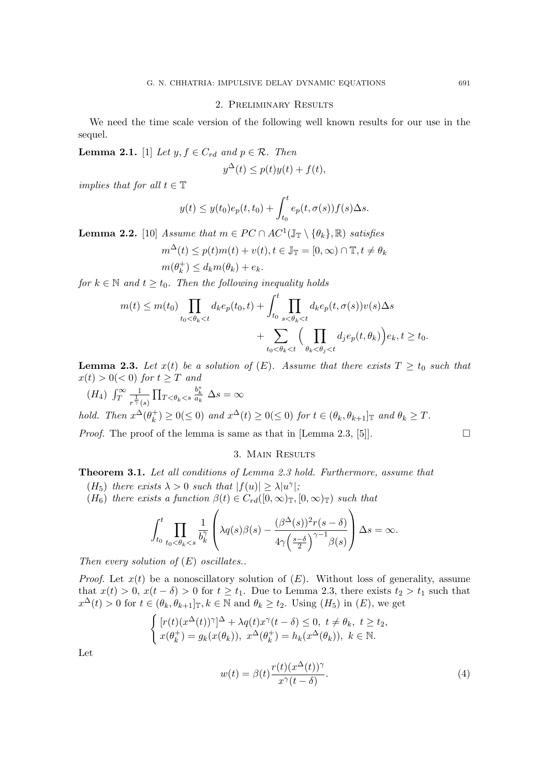## 2. Preliminary Results

We need the time scale version of the following well known results for our use in the sequel.

**Lemma 2.1.** [1] Let  $y, f \in C_{rd}$  and  $p \in \mathcal{R}$ . Then

$$
y^{\Delta}(t) \le p(t)y(t) + f(t),
$$

implies that for all  $t \in \mathbb{T}$ 

$$
y(t) \leq y(t_0)e_p(t,t_0) + \int_{t_0}^t e_p(t,\sigma(s))f(s)\Delta s.
$$

**Lemma 2.2.** [10] Assume that  $m \in PC \cap AC^1(\mathbb{J}_{\mathbb{T}} \setminus \{\theta_k\}, \mathbb{R})$  satisfies

$$
m^{\Delta}(t) \le p(t)m(t) + v(t), t \in \mathbb{J}_{\mathbb{T}} = [0, \infty) \cap \mathbb{T}, t \ne \theta_k
$$

$$
n(\theta_k^+) \le d_k m(\theta_k) + e_k.
$$

for  $k \in \mathbb{N}$  and  $t \geq t_0$ . Then the following inequality holds

$$
m(t) \le m(t_0) \prod_{t_0 < \theta_k < t} d_k e_p(t_0, t) + \int_{t_0}^t \prod_{s < \theta_k < t} d_k e_p(t, \sigma(s)) v(s) \Delta s
$$
  
+ 
$$
\sum_{t_0 < \theta_k < t} \Big( \prod_{\theta_k < \theta_j < t} d_j e_p(t, \theta_k) \Big) e_k, t \ge t_0.
$$

**Lemma 2.3.** Let  $x(t)$  be a solution of  $(E)$ . Assume that there exists  $T \ge t_0$  such that  $x(t) > 0 \leq 0$  for  $t \geq T$  and

 $(H_4)$   $\int_T^\infty$ 1  $\overline{r^{\frac{1}{\gamma}}(s)}$  $\prod_{T<\theta_k < s}$  $rac{b_k^*}{a_k}$   $\Delta s = \infty$ 

 $\gamma$ 

hold. Then  $x^{\Delta}(\theta_k^+)$  $(k)$   $\geq 0 (\leq 0)$  and  $x^{\Delta}(t) \geq 0 (\leq 0)$  for  $t \in (\theta_k, \theta_{k+1}]_{\mathbb{T}}$  and  $\theta_k \geq T$ .

*Proof.* The proof of the lemma is same as that in [Lemma 2.3, [5]].

## 3. Main Results

Theorem 3.1. Let all conditions of Lemma 2.3 hold. Furthermore, assume that

- (H<sub>5</sub>) there exists  $\lambda > 0$  such that  $|f(u)| \ge \lambda |u^{\gamma}|$ ;
- (H<sub>6</sub>) there exists a function  $\beta(t) \in C_{rd}([0,\infty)_\mathbb{T},[0,\infty)_\mathbb{T})$  such that

$$
\int_{t_0}^t \prod_{t_0 < \theta_k < s} \frac{1}{b_k^{\gamma}} \left( \lambda q(s) \beta(s) - \frac{(\beta^{\Delta}(s))^2 r(s - \delta)}{4\gamma \left(\frac{s - \delta}{2}\right)^{\gamma - 1} \beta(s)} \right) \Delta s = \infty.
$$

Then every solution of  $(E)$  oscillates..

*Proof.* Let  $x(t)$  be a nonoscillatory solution of  $(E)$ . Without loss of generality, assume that  $x(t) > 0$ ,  $x(t - \delta) > 0$  for  $t \geq t_1$ . Due to Lemma 2.3, there exists  $t_2 > t_1$  such that  $x^{\Delta}(t) > 0$  for  $t \in (\theta_k, \theta_{k+1}]_{\mathbb{T}}, k \in \mathbb{N}$  and  $\theta_k \ge t_2$ . Using  $(H_5)$  in  $(E)$ , we get

$$
\begin{cases}\n[r(t)(x^{\Delta}(t))^{\gamma}]^{\Delta} + \lambda q(t)x^{\gamma}(t-\delta) \leq 0, \ t \neq \theta_k, \ t \geq t_2, \\
x(\theta_k^+) = g_k(x(\theta_k)), \ x^{\Delta}(\theta_k^+) = h_k(x^{\Delta}(\theta_k)), \ k \in \mathbb{N}.\n\end{cases}
$$

Let

$$
w(t) = \beta(t) \frac{r(t)(x^{\Delta}(t))^{\gamma}}{x^{\gamma}(t-\delta)}.
$$
\n(4)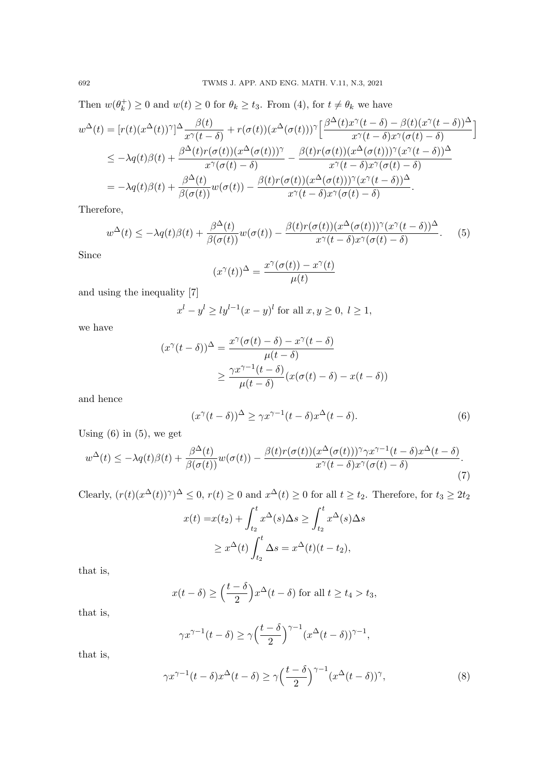Then  $w(\theta_k^+$  $(k) \geq 0$  and  $w(t) \geq 0$  for  $\theta_k \geq t_3$ . From (4), for  $t \neq \theta_k$  we have

$$
w^{\Delta}(t) = [r(t)(x^{\Delta}(t))^{\gamma}]^{\Delta} \frac{\beta(t)}{x^{\gamma}(t-\delta)} + r(\sigma(t))(x^{\Delta}(\sigma(t)))^{\gamma} \Big[ \frac{\beta^{\Delta}(t)x^{\gamma}(t-\delta) - \beta(t)(x^{\gamma}(t-\delta))^{\Delta}}{x^{\gamma}(t-\delta)x^{\gamma}(\sigma(t)-\delta)} \Big]
$$
  
\n
$$
\leq -\lambda q(t)\beta(t) + \frac{\beta^{\Delta}(t)r(\sigma(t))(x^{\Delta}(\sigma(t)))^{\gamma}}{x^{\gamma}(\sigma(t)-\delta)} - \frac{\beta(t)r(\sigma(t))(x^{\Delta}(\sigma(t)))^{\gamma}(x^{\gamma}(t-\delta))^{\Delta}}{x^{\gamma}(t-\delta)x^{\gamma}(\sigma(t)-\delta)}
$$
  
\n
$$
= -\lambda q(t)\beta(t) + \frac{\beta^{\Delta}(t)}{\beta(\sigma(t))}w(\sigma(t)) - \frac{\beta(t)r(\sigma(t))(x^{\Delta}(\sigma(t)))^{\gamma}(x^{\gamma}(t-\delta))^{\Delta}}{x^{\gamma}(t-\delta)x^{\gamma}(\sigma(t)-\delta)}.
$$

Therefore,

$$
w^{\Delta}(t) \leq -\lambda q(t)\beta(t) + \frac{\beta^{\Delta}(t)}{\beta(\sigma(t))}w(\sigma(t)) - \frac{\beta(t)r(\sigma(t))(x^{\Delta}(\sigma(t)))^{\gamma}(x^{\gamma}(t-\delta))^{\Delta}}{x^{\gamma}(t-\delta)x^{\gamma}(\sigma(t)-\delta)}.
$$
 (5)

Since

$$
(x^{\gamma}(t))^{\Delta} = \frac{x^{\gamma}(\sigma(t)) - x^{\gamma}(t)}{\mu(t)}
$$

and using the inequality [7]

$$
x^{l} - y^{l} \ge l y^{l-1} (x - y)^{l} \text{ for all } x, y \ge 0, l \ge 1,
$$

we have

$$
(x^{\gamma}(t-\delta))^{\Delta} = \frac{x^{\gamma}(\sigma(t)-\delta) - x^{\gamma}(t-\delta)}{\mu(t-\delta)}
$$

$$
\geq \frac{\gamma x^{\gamma-1}(t-\delta)}{\mu(t-\delta)} (x(\sigma(t)-\delta) - x(t-\delta))
$$

and hence

$$
(x^{\gamma}(t-\delta))^{\Delta} \ge \gamma x^{\gamma-1}(t-\delta)x^{\Delta}(t-\delta). \tag{6}
$$

Using  $(6)$  in  $(5)$ , we get

$$
w^{\Delta}(t) \leq -\lambda q(t)\beta(t) + \frac{\beta^{\Delta}(t)}{\beta(\sigma(t))}w(\sigma(t)) - \frac{\beta(t)r(\sigma(t))(x^{\Delta}(\sigma(t)))^{\gamma}\gamma x^{\gamma-1}(t-\delta)x^{\Delta}(t-\delta)}{x^{\gamma}(t-\delta)x^{\gamma}(\sigma(t)-\delta)}.
$$
\n(7)

Clearly,  $(r(t)(x^{\Delta}(t))^{\gamma})^{\Delta} \leq 0$ ,  $r(t) \geq 0$  and  $x^{\Delta}(t) \geq 0$  for all  $t \geq t_2$ . Therefore, for  $t_3 \geq 2t_2$ 

$$
x(t) = x(t_2) + \int_{t_2}^t x^{\Delta}(s) \Delta s \ge \int_{t_2}^t x^{\Delta}(s) \Delta s
$$
  
 
$$
\ge x^{\Delta}(t) \int_{t_2}^t \Delta s = x^{\Delta}(t)(t - t_2),
$$

that is,

$$
x(t-\delta) \ge \left(\frac{t-\delta}{2}\right) x^{\Delta}(t-\delta) \text{ for all } t \ge t_4 > t_3,
$$

that is,

$$
\gamma x^{\gamma - 1} (t - \delta) \ge \gamma \left(\frac{t - \delta}{2}\right)^{\gamma - 1} (x^{\Delta} (t - \delta))^{\gamma - 1},
$$

that is,

$$
\gamma x^{\gamma - 1} (t - \delta) x^{\Delta} (t - \delta) \ge \gamma \left(\frac{t - \delta}{2}\right)^{\gamma - 1} (x^{\Delta} (t - \delta))^{\gamma},\tag{8}
$$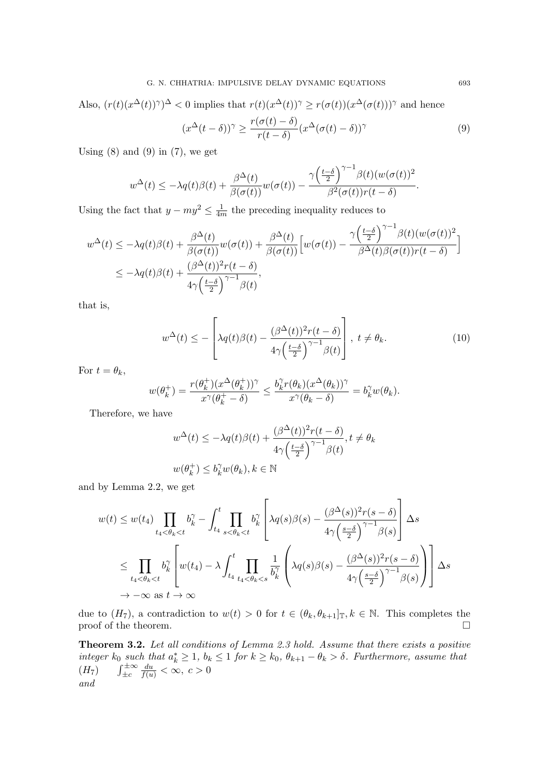Also,  $(r(t)(x^{\Delta}(t))^{\gamma})^{\Delta} < 0$  implies that  $r(t)(x^{\Delta}(t))^{\gamma} \geq r(\sigma(t))(x^{\Delta}(\sigma(t)))^{\gamma}$  and hence

$$
(x^{\Delta}(t-\delta))^{\gamma} \ge \frac{r(\sigma(t)-\delta)}{r(t-\delta)} (x^{\Delta}(\sigma(t)-\delta))^{\gamma}
$$
\n(9)

Using  $(8)$  and  $(9)$  in  $(7)$ , we get

$$
w^{\Delta}(t) \leq -\lambda q(t)\beta(t) + \frac{\beta^{\Delta}(t)}{\beta(\sigma(t))}w(\sigma(t)) - \frac{\gamma(\frac{t-\delta}{2})^{\gamma-1}\beta(t)(w(\sigma(t)))^2}{\beta^2(\sigma(t))r(t-\delta)}
$$

Using the fact that  $y - my^2 \leq \frac{1}{4x}$  $\frac{1}{4m}$  the preceding inequality reduces to

$$
w^{\Delta}(t) \leq -\lambda q(t)\beta(t) + \frac{\beta^{\Delta}(t)}{\beta(\sigma(t))}w(\sigma(t)) + \frac{\beta^{\Delta}(t)}{\beta(\sigma(t))}\Big[w(\sigma(t)) - \frac{\gamma(\frac{t-\delta}{2})^{\gamma-1}\beta(t)(w(\sigma(t))^2}{\beta^{\Delta}(t)\beta(\sigma(t))r(t-\delta)}\Big]
$$
  

$$
\leq -\lambda q(t)\beta(t) + \frac{(\beta^{\Delta}(t))^2r(t-\delta)}{4\gamma(\frac{t-\delta}{2})^{\gamma-1}\beta(t)},
$$

that is,

$$
w^{\Delta}(t) \leq -\left[\lambda q(t)\beta(t) - \frac{(\beta^{\Delta}(t))^2 r(t-\delta)}{4\gamma \left(\frac{t-\delta}{2}\right)^{\gamma-1} \beta(t)}\right], \ t \neq \theta_k.
$$
 (10)

For  $t = \theta_k$ ,

$$
w(\theta_k^+) = \frac{r(\theta_k^+)(x^{\Delta}(\theta_k^+))^\gamma}{x^{\gamma}(\theta_k^+ - \delta)} \le \frac{b_k^{\gamma}r(\theta_k)(x^{\Delta}(\theta_k))^{\gamma}}{x^{\gamma}(\theta_k - \delta)} = b_k^{\gamma}w(\theta_k).
$$

Therefore, we have

$$
w^{\Delta}(t) \le -\lambda q(t)\beta(t) + \frac{(\beta^{\Delta}(t))^2 r(t-\delta)}{4\gamma \left(\frac{t-\delta}{2}\right)^{\gamma-1} \beta(t)}, t \ne \theta_k
$$
  

$$
w(\theta_k^+) \le b_k^{\gamma} w(\theta_k), k \in \mathbb{N}
$$

and by Lemma 2.2, we get

$$
w(t) \le w(t_4) \prod_{t_4 < \theta_k < t} b_k^{\gamma} - \int_{t_4}^t \prod_{s < \theta_k < t} b_k^{\gamma} \left[ \lambda q(s) \beta(s) - \frac{(\beta^{\Delta}(s))^2 r(s - \delta)}{4\gamma \left(\frac{s-\delta}{2}\right)^{\gamma-1} \beta(s)} \right] \Delta s
$$
  

$$
\le \prod_{t_4 < \theta_k < t} b_k^{\gamma} \left[ w(t_4) - \lambda \int_{t_4}^t \prod_{t_4 < \theta_k < s} \frac{1}{b_k^{\gamma}} \left( \lambda q(s) \beta(s) - \frac{(\beta^{\Delta}(s))^2 r(s - \delta)}{4\gamma \left(\frac{s-\delta}{2}\right)^{\gamma-1} \beta(s)} \right) \right] \Delta s
$$
  

$$
\to -\infty \text{ as } t \to \infty
$$

due to  $(H_7)$ , a contradiction to  $w(t) > 0$  for  $t \in (\theta_k, \theta_{k+1}]_T, k \in \mathbb{N}$ . This completes the proof of the theorem.  $\Box$ 

Theorem 3.2. Let all conditions of Lemma 2.3 hold. Assume that there exists a positive integer  $k_0$  such that  $a_k^* \geq 1$ ,  $b_k \leq 1$  for  $k \geq k_0$ ,  $\theta_{k+1} - \theta_k > \delta$ . Furthermore, assume that  $(H_7)$   $\int_{\pm c}^{\pm \infty}$  $\frac{du}{f(u)} < \infty, c > 0$ and

.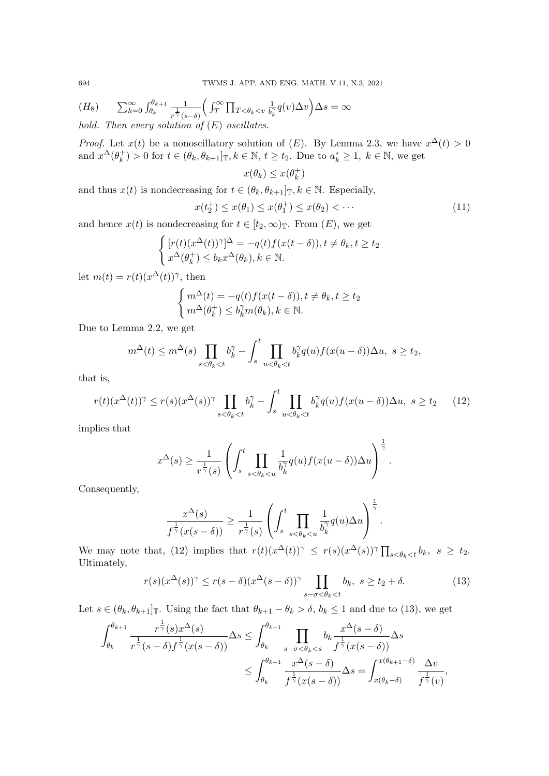(H<sub>8</sub>) 
$$
\sum_{k=0}^{\infty} \int_{\theta_k}^{\theta_{k+1}} \frac{1}{r^{\frac{1}{\gamma}}(s-\delta)} \Big( \int_T^{\infty} \prod_{T < \theta_k < v} \frac{1}{b_k^{\gamma}} q(v) \Delta v \Big) \Delta s = \infty
$$
  
hold. Then every solution of (E) oscillates.

*Proof.* Let  $x(t)$  be a nonoscillatory solution of  $(E)$ . By Lemma 2.3, we have  $x^{\Delta}(t) > 0$ and  $x^{\Delta}(\theta_k^+)$  $(k) > 0$  for  $t \in (\theta_k, \theta_{k+1}]_{\mathbb{T}}, k \in \mathbb{N}, t \geq t_2$ . Due to  $a_k^* \geq 1, k \in \mathbb{N}$ , we get

$$
x(\theta_k) \leq x(\theta_k^+)
$$

and thus  $x(t)$  is nondecreasing for  $t \in (\theta_k, \theta_{k+1}]_{\mathbb{T}}, k \in \mathbb{N}$ . Especially,

$$
x(t_2^+) \le x(\theta_1) \le x(\theta_1^+) \le x(\theta_2) < \cdots
$$
 (11)

and hence  $x(t)$  is nondecreasing for  $t \in [t_2, \infty)_\mathbb{T}$ . From  $(E)$ , we get

$$
\begin{cases}\n[r(t)(x^{\Delta}(t))^{\gamma}]^{\Delta} = -q(t)f(x(t-\delta)), t \neq \theta_k, t \geq t_2 \\
x^{\Delta}(\theta_k^+) \leq b_k x^{\Delta}(\theta_k), k \in \mathbb{N}.\n\end{cases}
$$

let  $m(t) = r(t)(x^{\Delta}(t))^{\gamma}$ , then

$$
\begin{cases} m^{\Delta}(t) = -q(t)f(x(t-\delta)), t \neq \theta_k, t \geq t_2\\ m^{\Delta}(\theta_k^+) \leq b_k^{\gamma}m(\theta_k), k \in \mathbb{N}. \end{cases}
$$

Due to Lemma 2.2, we get

$$
m^{\Delta}(t) \leq m^{\Delta}(s) \prod_{s < \theta_k < t} b_k^{\gamma} - \int_s^t \prod_{u < \theta_k < t} b_k^{\gamma}(q(u)) f(x(u - \delta)) \Delta u, \ s \geq t_2,
$$

that is,

$$
r(t)(x^{\Delta}(t))^{\gamma} \le r(s)(x^{\Delta}(s))^{\gamma} \prod_{s < \theta_k < t} b_k^{\gamma} - \int_s^t \prod_{u < \theta_k < t} b_k^{\gamma} q(u) f(x(u - \delta)) \Delta u, \ s \ge t_2 \tag{12}
$$

implies that

$$
x^{\Delta}(s) \geq \frac{1}{r^{\frac{1}{\gamma}}(s)} \left( \int_s^t \prod_{s < \theta_k < u} \frac{1}{b_k^{\gamma}} q(u) f(x(u - \delta)) \Delta u \right)^{\frac{1}{\gamma}}.
$$

Consequently,

$$
\frac{x^{\Delta}(s)}{f^{\frac{1}{\gamma}}(x(s-\delta))} \geq \frac{1}{r^{\frac{1}{\gamma}}(s)} \left( \int_s^t \prod_{s < \theta_k < u} \frac{1}{b_k^{\gamma}} q(u) \Delta u \right)^{\frac{1}{\gamma}}.
$$

We may note that, (12) implies that  $r(t)(x^{\Delta}(t))^{\gamma} \leq r(s)(x^{\Delta}(s))^{\gamma} \prod_{s \leq \theta_k \leq t} b_k, s \geq t_2$ . Ultimately,

$$
r(s)(x^{\Delta}(s))^{\gamma} \le r(s-\delta)(x^{\Delta}(s-\delta))^{\gamma} \prod_{s-\sigma < \theta_k < t} b_k, \ s \ge t_2 + \delta. \tag{13}
$$

Let  $s \in (\theta_k, \theta_{k+1}]\text{I}$ . Using the fact that  $\theta_{k+1} - \theta_k > \delta$ ,  $b_k \leq 1$  and due to (13), we get

$$
\int_{\theta_k}^{\theta_{k+1}} \frac{r^{\frac{1}{\gamma}}(s)x^{\Delta}(s)}{r^{\frac{1}{\gamma}}(s-\delta)f^{\frac{1}{\gamma}}(x(s-\delta))} \Delta s \leq \int_{\theta_k}^{\theta_{k+1}} \prod_{s-\sigma < \theta_k < s} b_k \frac{x^{\Delta}(s-\delta)}{f^{\frac{1}{\gamma}}(x(s-\delta))} \Delta s
$$

$$
\leq \int_{\theta_k}^{\theta_{k+1}} \frac{x^{\Delta}(s-\delta)}{f^{\frac{1}{\gamma}}(x(s-\delta))} \Delta s = \int_{x(\theta_k-\delta)}^{x(\theta_{k+1}-\delta)} \frac{\Delta v}{f^{\frac{1}{\gamma}}(v)},
$$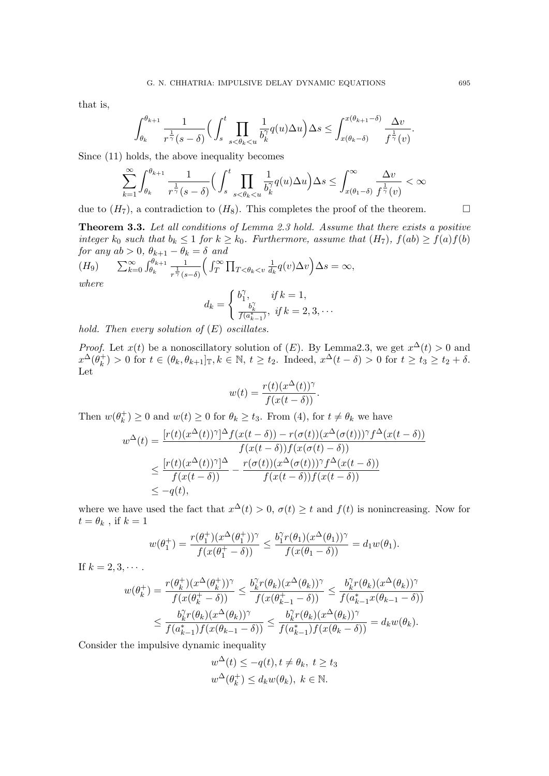that is,

$$
\int_{\theta_k}^{\theta_{k+1}}\frac{1}{r^{\frac{1}{\gamma}}(s-\delta)}\Big(\int_{s}^{t}\prod_{s<\theta_k< u}\frac{1}{b_k^{\gamma}}q(u)\Delta u\Big)\Delta s\leq \int_{x(\theta_k-\delta)}^{x(\theta_{k+1}-\delta)}\frac{\Delta v}{f^{\frac{1}{\gamma}}(v)}.
$$

Since (11) holds, the above inequality becomes

$$
\sum_{k=1}^{\infty}\int_{\theta_k}^{\theta_{k+1}}\frac{1}{r^{\frac{1}{\gamma}}(s-\delta)}\Big(\int_{s}^{t}\prod_{s<\theta_k
$$

due to  $(H_7)$ , a contradiction to  $(H_8)$ . This completes the proof of the theorem.

Theorem 3.3. Let all conditions of Lemma 2.3 hold. Assume that there exists a positive integer  $k_0$  such that  $b_k \leq 1$  for  $k \geq k_0$ . Furthermore, assume that  $(H_7)$ ,  $f(ab) \geq f(a)f(b)$ for any  $ab > 0$ ,  $\theta_{k+1} - \theta_k = \delta$  and

$$
(H_9) \qquad \sum_{k=0}^{\infty} \int_{\theta_k}^{\theta_{k+1}} \frac{1}{r^{\frac{1}{\gamma}}(s-\delta)} \bigg( \int_T^{\infty} \prod_{T < \theta_k < v} \frac{1}{d_k} q(v) \Delta v \bigg) \Delta s = \infty,
$$

where

$$
d_k = \begin{cases} b_1^{\gamma}, & \text{if } k = 1, \\ \frac{b_k^{\gamma}}{f(a_{k-1}^*)}, & \text{if } k = 2, 3, \dots \end{cases}
$$

hold. Then every solution of  $(E)$  oscillates.

*Proof.* Let  $x(t)$  be a nonoscillatory solution of  $(E)$ . By Lemma2.3, we get  $x^{\Delta}(t) > 0$  and  $x^{\Delta}(\theta_k^+)$  $k_k^+(k) > 0$  for  $t \in (\theta_k, \theta_{k+1}]_{{\mathbb{T}}}, k \in {\mathbb{N}}, t \geq t_2$ . Indeed,  $x^{\Delta}(t - \delta) > 0$  for  $t \geq t_3 \geq t_2 + \delta$ . Let

$$
w(t) = \frac{r(t)(x^{\Delta}(t))^{\gamma}}{f(x(t-\delta))}.
$$

Then  $w(\theta_k^+$  $(k) \geq 0$  and  $w(t) \geq 0$  for  $\theta_k \geq t_3$ . From (4), for  $t \neq \theta_k$  we have

$$
w^{\Delta}(t) = \frac{[r(t)(x^{\Delta}(t))^{\gamma}]^{\Delta} f(x(t-\delta)) - r(\sigma(t))(x^{\Delta}(\sigma(t)))^{\gamma} f^{\Delta}(x(t-\delta))}{f(x(t-\delta))f(x(\sigma(t)-\delta))}
$$
  

$$
\leq \frac{[r(t)(x^{\Delta}(t))^{\gamma}]^{\Delta}}{f(x(t-\delta))} - \frac{r(\sigma(t))(x^{\Delta}(\sigma(t)))^{\gamma} f^{\Delta}(x(t-\delta))}{f(x(t-\delta))f(x(t-\delta))}
$$
  

$$
\leq -q(t),
$$

where we have used the fact that  $x^{\Delta}(t) > 0$ ,  $\sigma(t) \geq t$  and  $f(t)$  is nonincreasing. Now for  $t = \theta_k$ , if  $k = 1$ 

$$
w(\theta_1^+) = \frac{r(\theta_1^+)(x^{\Delta}(\theta_1^+))^\gamma}{f(x(\theta_1^+ - \delta))} \le \frac{b_1^{\gamma}r(\theta_1)(x^{\Delta}(\theta_1))^{\gamma}}{f(x(\theta_1 - \delta))} = d_1w(\theta_1).
$$

If  $k = 2, 3, \cdots$ .

$$
w(\theta_k^+) = \frac{r(\theta_k^+)(x^{\Delta}(\theta_k^+))^{\gamma}}{f(x(\theta_k^+-\delta))} \le \frac{b_k^{\gamma}r(\theta_k)(x^{\Delta}(\theta_k))^{\gamma}}{f(x(\theta_{k-1}^+-\delta))} \le \frac{b_k^{\gamma}r(\theta_k)(x^{\Delta}(\theta_k))^{\gamma}}{f(a_{k-1}^*\mathcal{I}(\theta_{k-1}-\delta))}
$$
  

$$
\le \frac{b_k^{\gamma}r(\theta_k)(x^{\Delta}(\theta_k))^{\gamma}}{f(a_{k-1}^*)f(x(\theta_{k-1}-\delta))} \le \frac{b_k^{\gamma}r(\theta_k)(x^{\Delta}(\theta_k))^{\gamma}}{f(a_{k-1}^*)f(x(\theta_k-\delta))} = d_kw(\theta_k).
$$

Consider the impulsive dynamic inequality

$$
w^{\Delta}(t) \le -q(t), t \ne \theta_k, t \ge t_3
$$
  

$$
w^{\Delta}(\theta_k^+) \le d_k w(\theta_k), k \in \mathbb{N}.
$$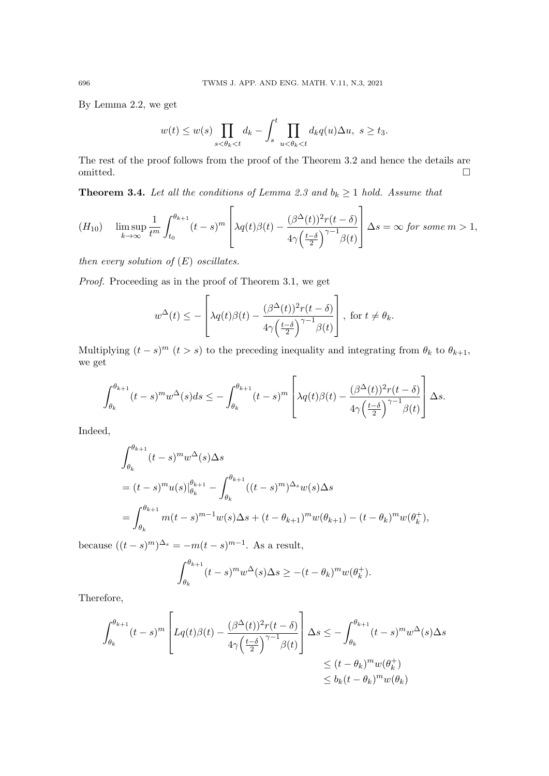By Lemma 2.2, we get

$$
w(t) \le w(s) \prod_{s < \theta_k < t} d_k - \int_s^t \prod_{u < \theta_k < t} d_k q(u) \Delta u, \ s \ge t_3.
$$

The rest of the proof follows from the proof of the Theorem 3.2 and hence the details are omitted.

**Theorem 3.4.** Let all the conditions of Lemma 2.3 and  $b_k \ge 1$  hold. Assume that

$$
(H_{10}) \quad \limsup_{k \to \infty} \frac{1}{t^m} \int_{t_0}^{\theta_{k+1}} (t-s)^m \left[ \lambda q(t) \beta(t) - \frac{(\beta^{\Delta}(t))^2 r(t-\delta)}{4\gamma \left(\frac{t-\delta}{2}\right)^{\gamma-1} \beta(t)} \right] \Delta s = \infty \text{ for some } m > 1,
$$

then every solution of  $(E)$  oscillates.

Proof. Proceeding as in the proof of Theorem 3.1, we get

$$
w^{\Delta}(t) \leq -\left[\lambda q(t)\beta(t) - \frac{(\beta^{\Delta}(t))^2 r(t-\delta)}{4\gamma \left(\frac{t-\delta}{2}\right)^{\gamma-1} \beta(t)}\right], \text{ for } t \neq \theta_k.
$$

Multiplying  $(t-s)^m$   $(t > s)$  to the preceding inequality and integrating from  $\theta_k$  to  $\theta_{k+1}$ , we get

$$
\int_{\theta_k}^{\theta_{k+1}} (t-s)^m w^{\Delta}(s) ds \leq - \int_{\theta_k}^{\theta_{k+1}} (t-s)^m \left[ \lambda q(t) \beta(t) - \frac{(\beta^{\Delta}(t))^2 r(t-\delta)}{4\gamma \left(\frac{t-\delta}{2}\right)^{\gamma-1} \beta(t)} \right] \Delta s.
$$

Indeed,

$$
\int_{\theta_k}^{\theta_{k+1}} (t-s)^m w^{\Delta}(s) \Delta s
$$
  
=  $(t-s)^m u(s) \Big|_{\theta_k}^{\theta_{k+1}} - \int_{\theta_k}^{\theta_{k+1}} ((t-s)^m)^{\Delta_s} w(s) \Delta s$   
=  $\int_{\theta_k}^{\theta_{k+1}} m(t-s)^{m-1} w(s) \Delta s + (t - \theta_{k+1})^m w(\theta_{k+1}) - (t - \theta_k)^m w(\theta_k^+),$ 

because  $((t-s)^m)^{\Delta_s} = -m(t-s)^{m-1}$ . As a result,

$$
\int_{\theta_k}^{\theta_{k+1}} (t-s)^m w^{\Delta}(s) \Delta s \ge -(t-\theta_k)^m w(\theta_k^+).
$$

Therefore,

$$
\int_{\theta_k}^{\theta_{k+1}} (t-s)^m \left[ Lq(t)\beta(t) - \frac{(\beta^{\Delta}(t))^2 r(t-\delta)}{4\gamma \left(\frac{t-\delta}{2}\right)^{\gamma-1} \beta(t)} \right] \Delta s \le -\int_{\theta_k}^{\theta_{k+1}} (t-s)^m w^{\Delta}(s) \Delta s
$$
  

$$
\le (t-\theta_k)^m w(\theta_k^+) \le b_k (t-\theta_k)^m w(\theta_k)
$$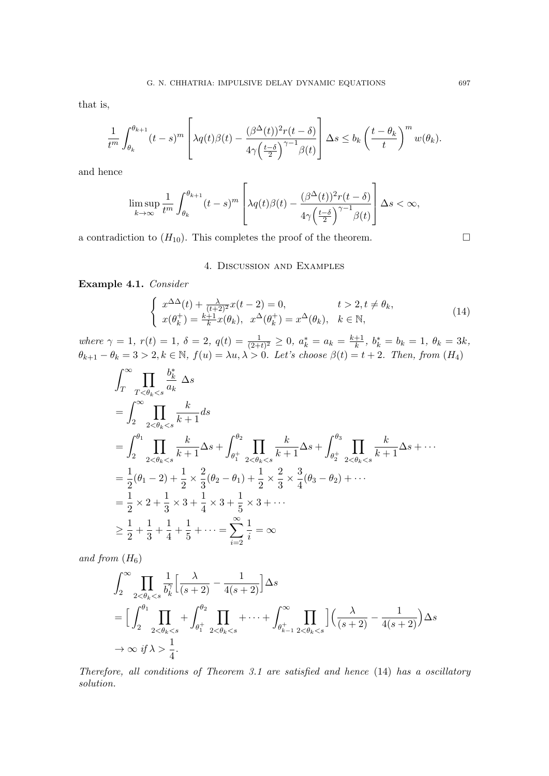that is,

$$
\frac{1}{t^m} \int_{\theta_k}^{\theta_{k+1}} (t-s)^m \left[ \lambda q(t) \beta(t) - \frac{(\beta^{\Delta}(t))^2 r(t-\delta)}{4\gamma \left(\frac{t-\delta}{2}\right)^{\gamma-1} \beta(t)} \right] \Delta s \le b_k \left(\frac{t-\theta_k}{t}\right)^m w(\theta_k).
$$

and hence

$$
\limsup_{k \to \infty} \frac{1}{t^m} \int_{\theta_k}^{\theta_{k+1}} (t-s)^m \left[ \lambda q(t) \beta(t) - \frac{(\beta^{\Delta}(t))^2 r(t-\delta)}{4\gamma \left(\frac{t-\delta}{2}\right)^{\gamma-1} \beta(t)} \right] \Delta s < \infty,
$$

a contradiction to  $(H_{10})$ . This completes the proof of the theorem.

## 4. Discussion and Examples

Example 4.1. Consider

$$
\begin{cases}\nx^{\Delta\Delta}(t) + \frac{\lambda}{(t+2)^2}x(t-2) = 0, & t > 2, t \neq \theta_k, \\
x(\theta_k^+) = \frac{k+1}{k}x(\theta_k), & x^{\Delta}(\theta_k^+) = x^{\Delta}(\theta_k), & k \in \mathbb{N},\n\end{cases}
$$
\n(14)

where  $\gamma = 1, r(t) = 1, \delta = 2, q(t) = \frac{1}{(2+t)^2} \geq 0, a_k^* = a_k = \frac{k+1}{k}$  $\frac{+1}{k}$ ,  $b_k^* = b_k = 1$ ,  $\theta_k = 3k$ ,  $\theta_{k+1} - \theta_k = 3 > 2, k \in \mathbb{N}, f(u) = \lambda u, \lambda > 0$ . Let's choose  $\beta(t) = t + 2$ . Then, from  $(H_4)$ 

$$
\int_{T}^{\infty} \prod_{T < \theta_{k} < s} \frac{b_{k}^{*}}{a_{k}} \Delta s
$$
\n
$$
= \int_{2}^{\infty} \prod_{2 < \theta_{k} < s} \frac{k}{k+1} ds
$$
\n
$$
= \int_{2}^{\theta_{1}} \prod_{2 < \theta_{k} < s} \frac{k}{k+1} \Delta s + \int_{\theta_{1}^{+}}^{\theta_{2}} \prod_{2 < \theta_{k} < s} \frac{k}{k+1} \Delta s + \int_{\theta_{2}^{+}}^{\theta_{3}} \prod_{2 < \theta_{k} < s} \frac{k}{k+1} \Delta s + \cdots
$$
\n
$$
= \frac{1}{2} (\theta_{1} - 2) + \frac{1}{2} \times \frac{2}{3} (\theta_{2} - \theta_{1}) + \frac{1}{2} \times \frac{2}{3} \times \frac{3}{4} (\theta_{3} - \theta_{2}) + \cdots
$$
\n
$$
= \frac{1}{2} \times 2 + \frac{1}{3} \times 3 + \frac{1}{4} \times 3 + \frac{1}{5} \times 3 + \cdots
$$
\n
$$
\geq \frac{1}{2} + \frac{1}{3} + \frac{1}{4} + \frac{1}{5} + \cdots = \sum_{i=2}^{\infty} \frac{1}{i} = \infty
$$

and from  $(H_6)$ 

$$
\int_{2}^{\infty} \prod_{2 < \theta_{k} < s} \frac{1}{b_{k}^{\gamma}} \Big[ \frac{\lambda}{(s+2)} - \frac{1}{4(s+2)} \Big] \Delta s
$$
\n
$$
= \Big[ \int_{2}^{\theta_{1}} \prod_{2 < \theta_{k} < s} + \int_{\theta_{1}^{+}}^{\theta_{2}} \prod_{2 < \theta_{k} < s} + \dots + \int_{\theta_{k-1}^{+}}^{\infty} \prod_{2 < \theta_{k} < s} \Big] \Big( \frac{\lambda}{(s+2)} - \frac{1}{4(s+2)} \Big) \Delta s
$$
\n
$$
\rightarrow \infty \text{ if } \lambda > \frac{1}{4}.
$$

Therefore, all conditions of Theorem 3.1 are satisfied and hence (14) has a oscillatory solution.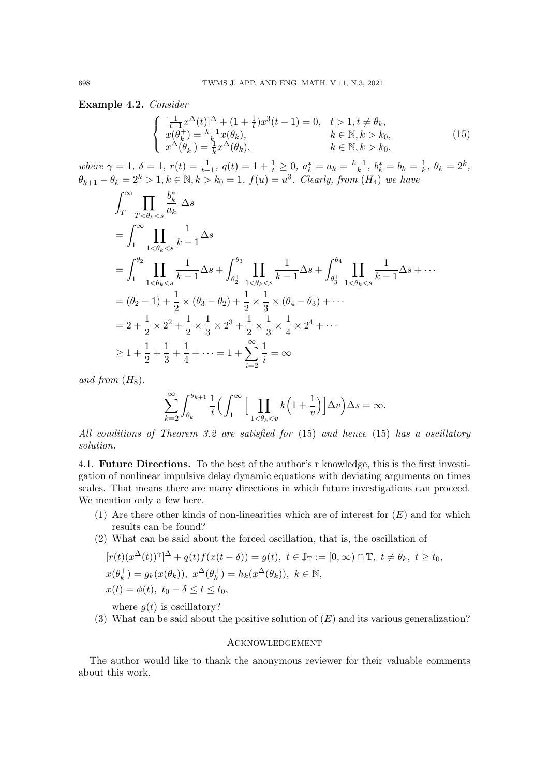Example 4.2. Consider

$$
\begin{cases}\n\frac{1}{t+1}x^{\Delta}(t)|^{\Delta} + (1 + \frac{1}{t})x^{3}(t-1) = 0, & t > 1, t \neq \theta_{k}, \\
x(\theta_{k}^{+}) = \frac{k-1}{k}x(\theta_{k}), & k \in \mathbb{N}, k > k_{0}, \\
x^{\Delta}(\theta_{k}^{+}) = \frac{1}{k}x^{\Delta}(\theta_{k}), & k \in \mathbb{N}, k > k_{0}, \\
& k \in \mathbb{N}, k > k_{0},\n\end{cases}
$$
\n(15)

where  $\gamma = 1, \ \delta = 1, \ r(t) = \frac{1}{t+1}, \ q(t) = 1 + \frac{1}{t} \geq 0, \ a_k^* = a_k = \frac{k-1}{k}$  $\frac{-1}{k}, b_k^* = b_k = \frac{1}{k}$  $\frac{1}{k}, \theta_k = 2^k,$  $\theta_{k+1} - \theta_k = 2^k > 1, k \in \mathbb{N}, k > k_0 = 1, f(u) = u^3$ . Clearly, from  $(H_4)$  we have

$$
\int_{T}^{\infty} \prod_{T < \theta_{k} < s} \frac{b_{k}^{*}}{a_{k}} \Delta s
$$
\n
$$
= \int_{1}^{\infty} \prod_{1 < \theta_{k} < s} \frac{1}{k-1} \Delta s
$$
\n
$$
= \int_{1}^{\theta_{2}} \prod_{1 < \theta_{k} < s} \frac{1}{k-1} \Delta s + \int_{\theta_{2}^{+}}^{\theta_{3}} \prod_{1 < \theta_{k} < s} \frac{1}{k-1} \Delta s + \int_{\theta_{3}^{+}}^{\theta_{4}} \prod_{1 < \theta_{k} < s} \frac{1}{k-1} \Delta s + \cdots
$$
\n
$$
= (\theta_{2} - 1) + \frac{1}{2} \times (\theta_{3} - \theta_{2}) + \frac{1}{2} \times \frac{1}{3} \times (\theta_{4} - \theta_{3}) + \cdots
$$
\n
$$
= 2 + \frac{1}{2} \times 2^{2} + \frac{1}{2} \times \frac{1}{3} \times 2^{3} + \frac{1}{2} \times \frac{1}{3} \times \frac{1}{4} \times 2^{4} + \cdots
$$
\n
$$
\geq 1 + \frac{1}{2} + \frac{1}{3} + \frac{1}{4} + \cdots = 1 + \sum_{i=2}^{\infty} \frac{1}{i} = \infty
$$

and from  $(H_8)$ ,

$$
\sum_{k=2}^{\infty}\int_{\theta_k}^{\theta_{k+1}}\frac{1}{t}\Big(\int_1^{\infty}\Big[\prod_{1<\theta_k
$$

All conditions of Theorem 3.2 are satisfied for (15) and hence (15) has a oscillatory solution.

4.1. Future Directions. To the best of the author's r knowledge, this is the first investigation of nonlinear impulsive delay dynamic equations with deviating arguments on times scales. That means there are many directions in which future investigations can proceed. We mention only a few here.

- (1) Are there other kinds of non-linearities which are of interest for  $(E)$  and for which results can be found?
- (2) What can be said about the forced oscillation, that is, the oscillation of

$$
[r(t)(x^{\Delta}(t))^{\gamma}]^{\Delta} + q(t)f(x(t-\delta)) = g(t), \ t \in \mathbb{J}_{\mathbb{T}} := [0, \infty) \cap \mathbb{T}, \ t \neq \theta_k, \ t \geq t_0,
$$
  

$$
x(\theta_k^+) = g_k(x(\theta_k)), \ x^{\Delta}(\theta_k^+) = h_k(x^{\Delta}(\theta_k)), \ k \in \mathbb{N},
$$
  

$$
x(t) = \phi(t), \ t_0 - \delta \leq t \leq t_0,
$$

where  $q(t)$  is oscillatory?

(3) What can be said about the positive solution of  $(E)$  and its various generalization?

## **ACKNOWLEDGEMENT**

The author would like to thank the anonymous reviewer for their valuable comments about this work.